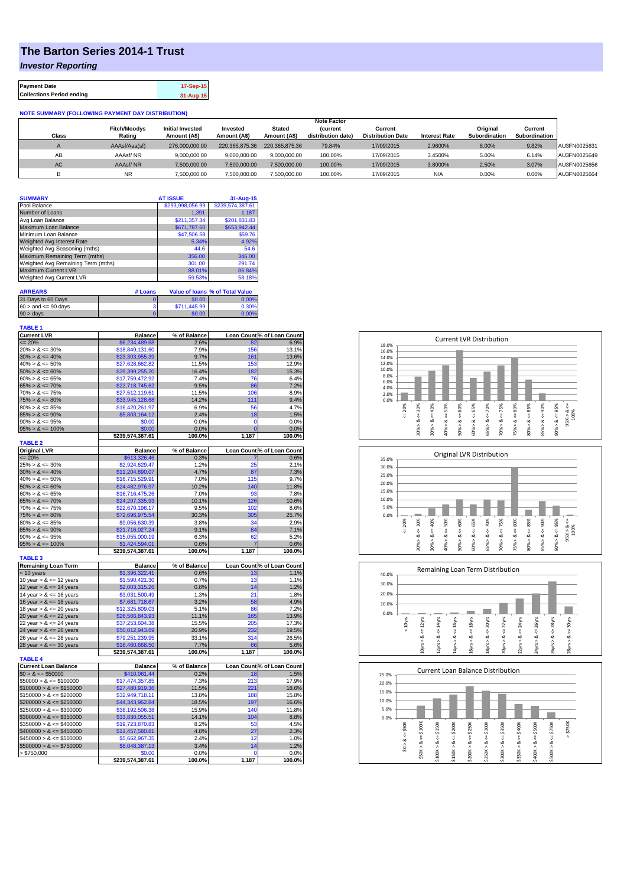## **The Barton Series 2014-1 Trust**

*Investor Reporting*

| <b>Payment Date</b>              | 17-Sep-15 |
|----------------------------------|-----------|
| <b>Collections Period ending</b> | 31-Aug-15 |

## **NOTE SUMMARY (FOLLOWING PAYMENT DAY DISTRIBUTION)**

|              |                     |                         |                |                | <b>Note Factor</b> |                          |                      |               |               |              |
|--------------|---------------------|-------------------------|----------------|----------------|--------------------|--------------------------|----------------------|---------------|---------------|--------------|
|              | <b>Fitch/Moodys</b> | <b>Initial Invested</b> | Invested       | Stated         | <b>Current</b>     | Current                  |                      | Original      | Current       |              |
| <b>Class</b> | Rating              | Amount (A\$)            | Amount (A\$)   | Amount (A\$)   | distribution date) | <b>Distribution Date</b> | <b>Interest Rate</b> | Subordination | Subordination |              |
|              | AAAsf/Aaa(sf)       | 276,000,000,00          | 220.365.875.36 | 220.365.875.36 | 79.84%             | 17/09/2015               | 2.9600%              | 8.00%         | 9.82%         | AU3FN0025631 |
| AB           | AAAsf/NR            | 9,000,000.00            | 9.000.000.00   | 9.000.000.00   | 100.00%            | 17/09/2015               | 3.4500%              | 5.00%         | 6.14%         | AU3FN0025649 |
| AC.          | AAAsf/NR            | 7,500,000.00            | 7.500.000.00   | 7.500.000.00   | 100.00%            | 17/09/2015               | 3.8000%              | 2.50%         | 3.07%         | AU3FN0025656 |
|              | <b>NR</b>           | ,500,000.00             | 7.500.000.00   | 7,500,000.00   | 100.00%            | 17/09/2015               | N/A                  | 0.00%         | 0.00%         | AU3FN0025664 |

| <b>SUMMARY</b>                     |          | <b>AT ISSUE</b>                  | 31-Aug-15                       |
|------------------------------------|----------|----------------------------------|---------------------------------|
| Pool Balance                       |          | \$293,998,056.99                 | \$239,574,387.61                |
| Number of Loans                    |          | 1.391                            | 1.187                           |
| Avg Loan Balance                   |          | \$211.357.34                     | \$201,831.83                    |
| Maximum Loan Balance               |          | \$671,787.60                     | \$653,942.44                    |
| Minimum Loan Balance               |          | \$47,506.58                      | \$59.76                         |
| <b>Weighted Avg Interest Rate</b>  |          | 5.34%                            | 4.92%                           |
| Weighted Avg Seasoning (mths)      |          | 44.6                             | 54.6                            |
| Maximum Remaining Term (mths)      |          | 356.00                           | 346.00                          |
| Weighted Avg Remaining Term (mths) |          | 301.00                           | 291.74                          |
| <b>Maximum Current LVR</b>         |          | 88.01%                           | 86.84%                          |
| Weighted Avg Current LVR           |          | 59.53%                           | 58.18%                          |
|                                    |          |                                  |                                 |
| <b>ARREARS</b>                     | # Loans  |                                  | Value of Ioans % of Total Value |
| 31 Dave to 60 Dave                 | $\Omega$ | $\mathfrak{C} \cap \mathfrak{C}$ | <b>OOOO</b>                     |

| 31 Days to 60 Days        | \$0.00       | <u>በ በበ%</u> |
|---------------------------|--------------|--------------|
| $60 >$ and $\leq 90$ days | \$711,445.99 | 0.30%        |
| $90 > \text{days}$        | 60.00        | በ በበ%        |
|                           |              |              |

| <b>TABLE 1</b>              |                  |              |                |                            |
|-----------------------------|------------------|--------------|----------------|----------------------------|
| <b>Current LVR</b>          | <b>Balance</b>   | % of Balance |                | Loan Count % of Loan Count |
| $= 20%$                     | \$6,234,489.68   | 2.6%         | 82             | 6.9%                       |
| $20\% > 8 \le 30\%$         | \$18,849,131.60  | 7.9%         | 156            | 13.1%                      |
| $30\% > 8 \le 40\%$         | \$23,303,955.39  | 9.7%         | 161            | 13.6%                      |
| $40\% > 8 \le 50\%$         | \$27,628,662.82  | 11.5%        | 153            | 12.9%                      |
| $50\% > 8 \le 60\%$         | \$39,399,255.20  | 16.4%        | 182            | 15.3%                      |
| $60\% > 8 \le 65\%$         | \$17,759,472.92  | 7.4%         | 76             | 6.4%                       |
| $65\% > 8 \le 70\%$         | \$22,718,745.62  | 9.5%         | 86             | 7.2%                       |
| $70\% > 8 \le 75\%$         | \$27,512,119.61  | 11.5%        | 106            | 8.9%                       |
| $75\% > 8 \le 80\%$         | \$33,945,128.68  | 14.2%        | 111            | 9.4%                       |
| $80\% > 8 \le 85\%$         | \$16,420,261.97  | 6.9%         | 56             | 4.7%                       |
| $85\% > 8 \le 90\%$         | \$5,803,164.12   | 2.4%         | 18             | 1.5%                       |
| $90\% > 8 \le 95\%$         | \$0.00           | 0.0%         | 0              | 0.0%                       |
| $95\% > 8 \le 100\%$        | \$0.00           | 0.0%         | $\overline{0}$ | 0.0%                       |
|                             | \$239,574,387.61 | 100.0%       | 1,187          | 100.0%                     |
| <b>TABLE 2</b>              |                  |              |                |                            |
| <b>Original LVR</b>         | <b>Balance</b>   | % of Balance |                | Loan Count % of Loan Count |
| $= 20%$                     | \$613,326.46     | 0.3%         |                | 0.6%                       |
| $25\% > 8 \le 30\%$         | \$2,924,629.47   | 1.2%         | 25             | 2.1%                       |
| $30\% > 8 \le 40\%$         | \$11,204,690.07  | 4.7%         | 87             | 7.3%                       |
| $40\% > 8 \le 50\%$         | \$16,715,529.91  | 7.0%         | 115            | 9.7%                       |
| $50\% > 8 \le 60\%$         | \$24,482,976.97  | 10.2%        | 140            | 11.8%                      |
| $60\% > 8 \le 65\%$         | \$16,716,475.26  | 7.0%         | 93             | 7.8%                       |
| $65\% > 8 \le 70\%$         | \$24,297,335.93  | 10.1%        | 126            | 10.6%                      |
| $70\% > 8 \le 75\%$         | \$22,670,196.17  | 9.5%         | 102            | 8.6%                       |
| $75\% > 8 \le 80\%$         | \$72,696,975.54  | 30.3%        | 305            | 25.7%                      |
| $80\% > 8 \le 85\%$         | \$9,056,630.39   | 3.8%         | 34             | 2.9%                       |
| $85\% > 8 \le 90\%$         | \$21,716,027.24  | 9.1%         | 84             | 7.1%                       |
| $90\% > 8 \le 95\%$         | \$15,055,000.19  | 6.3%         | 62             | 5.2%                       |
| $95\% > 8 \le 100\%$        | \$1,424,594.01   | 0.6%         |                | 0.6%                       |
|                             | \$239,574,387.61 | 100.0%       | 1,187          | 100.0%                     |
| <b>TABLE 3</b>              |                  |              |                |                            |
| <b>Remaining Loan Term</b>  | <b>Balance</b>   | % of Balance |                | Loan Count % of Loan Count |
| $< 10$ years                | \$1,396,322.41   | 0.6%         | 13             | 1.1%                       |
| 10 year $> 8 \le 12$ years  | \$1,590,421.30   | 0.7%         | 13             | 1.1%                       |
| 12 year $> 8 \le 14$ years  | \$2,003,315.26   | 0.8%         | 14             | 1.2%                       |
| 14 year $> 8 \le 16$ years  | \$3,031,500.49   | 1.3%         | 21             | 1.8%                       |
| 16 year $> 8 \le 18$ years  | \$7,681,718.67   | 3.2%         | 58             | 4.9%                       |
| 18 year $> 8 \le 20$ years  | \$12,325,809.03  | 5.1%         | 86             | 7.2%                       |
| 20 year $> 8 \le 22$ years  | \$26,566,843.93  | 11.1%        | 165            | 13.9%                      |
| 22 year $> 8 \le 24$ years  | \$37,253,604.38  | 15.5%        | 205            | 17.3%                      |
| 24 year $> 8 \le 26$ years  | \$50,012,943.69  | 20.9%        | 232            | 19.5%                      |
| 26 year $> 8 \le 28$ years  | \$79,251,239.95  | 33.1%        | 314            | 26.5%                      |
| 28 year $> 8 \le 30$ years  | \$18,460,668.50  | 7.7%         | 66             | 5.6%                       |
| <b>TABLE 4</b>              | \$239,574,387.61 | 100.0%       | 1,187          | 100.0%                     |
| <b>Current Loan Balance</b> | <b>Balance</b>   | % of Balance |                | Loan Count % of Loan Count |
| $$0 > 8 \leq $50000$        | \$410,061.44     | 0.2%         | 18             | 1.5%                       |
| $$50000 > 8 \le $100000$    | \$17,474,357.85  | 7.3%         | 213            | 17.9%                      |
| $$100000 > 8 \leq $150000$  | \$27,480,919.36  | 11.5%        | 221            | 18.6%                      |
| $$150000 > 8 \leq $200000$  | \$32,949,718.11  | 13.8%        | 188            | 15.8%                      |
| $$200000 > 8 \leq $250000$  | \$44,343,962.84  | 18.5%        | 197            | 16.6%                      |
| $$250000 > 8 \leq $300000$  | \$38,192,506.38  | 15.9%        | 140            | 11.8%                      |
| $$300000 > 8 \leq $350000$  | \$33,830,055.51  | 14.1%        | 104            | 8.8%                       |
| $$350000 > 8 \leq $400000$  | \$19,723,870.83  | 8.2%         | 53             | 4.5%                       |
| $$400000 > 8 \leq $450000$  | \$11,457,580.81  | 4.8%         | 27             | 2.3%                       |
| $$450000 > 8 \le $500000$   | \$5,662,967.35   | 2.4%         | 12             | 1.0%                       |
| $$500000 > 8 \leq $750000$  | \$8,048,387.13   | 3.4%         | 14             | 1.2%                       |
| > \$750,000                 | \$0.00           | 0.0%         | 0              | 0.0%                       |
|                             | \$239,574,387.61 | 100.0%       | 1,187          | 100.0%                     |
|                             |                  |              |                |                            |